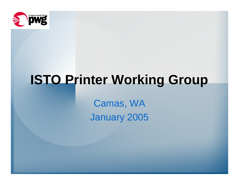

# **ISTO Printer Working Group**

Camas, WA January 2005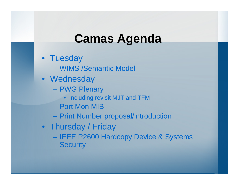## **Camas Agenda**

- Tuesday
	- –WIMS /Semantic Model
- Wednesday
	- PWG Plenary
		- Including revisit MJT and TFM
	- –Port Mon MIB
	- Print Number proposal/introduction
- Thursday / Friday
	- –- IEEE P2600 Hardcopy Device & Systems **Security**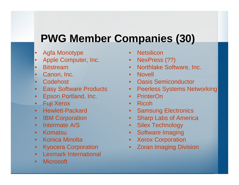## **PWG Member Companies (30)**

- •Agfa Monotype
- •Apple Computer, Inc.
- •**Bitstream**
- •Canon, Inc.
- •**Codehost**
- •Easy Software Products
- $\bullet$ Epson Portland, Inc.
- Fuji Xerox
- Hewlett-Packard
- •**IBM Corporation**
- •• Intermate A/S
- •Komatsu
- $\bullet$ Konica Minolta
- $\bullet$ Kyocera Corporation
- •Lexmark International
- $\bullet$ Microsoft
- •**Netsilicon**
- •NexPress (??)
- $\bullet$ Northlake Software, Inc.
- Novell
- •Oasis Semiconductor
- $\bullet$ Peerless Systems Networking
- $\bullet$ **PrinterOn**
- Ricoh
- $\bullet$ Samsung Electronics
- •Sharp Labs of America
- •Silex Technology
- $\bullet$ Software Imaging
- $\bullet$ Xerox Corporation
- $\bullet$ Zoran Imaging Division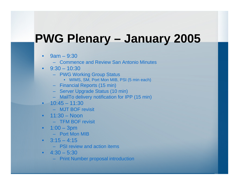# **PWG Plenary – January 2005**

- •• 9am – 9:30
	- –Commence and Review San Antonio Minutes
- •9:30 – 10:30
	- PWG W orking Group Status
		- WIMS, SM, Port Mon MIB, PSI (5 min each)
	- Financial Reports (15 min)
	- Server Upgrade Status (10 min)
	- MailTo delivery notification for IPP (15 min)
- 10:45 11:30
	- MJT BOF revisit
- 11:30 Noon
	- TFM BOF revisit
- 1:00 3pm
	- –Port Mon MIB
- •3:15 –4:15
	- –PSI review and action items
- •4:30 –5:30
	- Print Number proposal introduction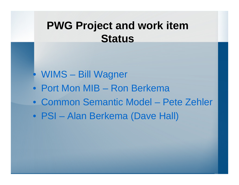### **PWG Project and work item Status**

- •WIMS Bill Wagner
- Port Mon MIB Ron Berkema
- •Common Semantic Model Pete Zehler
- PSI Alan Berkema (Dave Hall)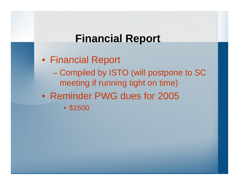#### **Financial Report**

• Financial Report - Compiled by ISTO (will postpone to SC meeting if running tight on time) •Reminder PWG dues for 2005 • \$1500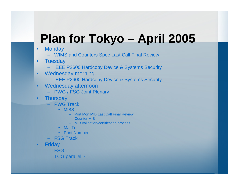# **Plan for Tokyo – April 2005**

- •**Monday** 
	- WIMS and Counters Spec Last Call Final Review
- •**Tuesday** 
	- IEEE P2600 Hardcopy Device & Systems Security
- •Wednesday morning
	- –IEEE P2600 Hardcopy Device & Systems Security
- •Wednesday afternoon
	- PWG / FSG Joi nt Plenary
- •**Thursday** 
	- –PWG Track
		- MIBS
			- Port Mon MIB Last Call Final Review
			- Counter MIB
			- MIB validation/certification process
		- •MailTo
		- •Print Number
	- FSG Track
- •**Friday** 
	- FSG
	- TCG parallel ?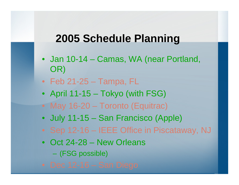#### **2005 Schedule Planning**

- Jan 10-14 Camas, WA (near Portland, OR)
- Feb 21-25 Tampa, FL
- April 11-15 Tokyo (with FSG)
- May 16-20 Toronto (Equitrac)
- July 11-15 San Francisco (Apple)
- Sep 12-16 IEEE Office in Piscataway, NJ
- Oct 24-28 New Orleans – (FSG possible)
-